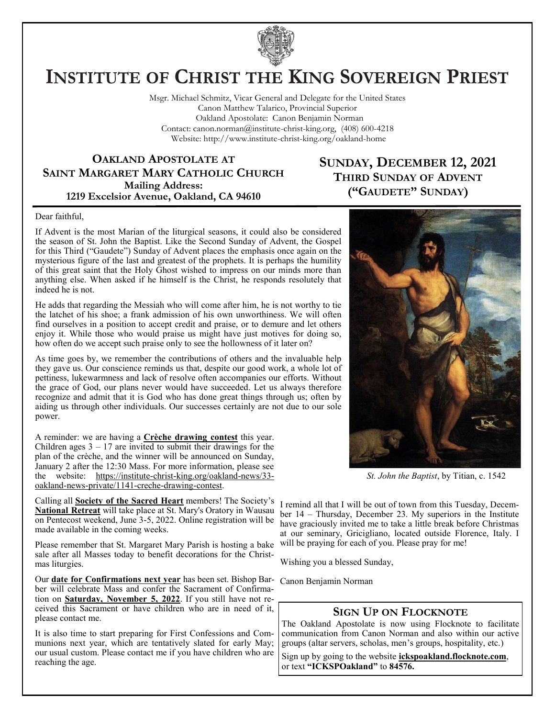

# **INSTITUTE OF CHRIST THE KING SOVEREIGN PRIEST**

Msgr. Michael Schmitz, Vicar General and Delegate for the United States Canon Matthew Talarico, Provincial Superior Oakland Apostolate: Canon Benjamin Norman Contact: canon.norman@institute-christ-king.org, (408) 600-4218 Website: http://www.institute-christ-king.org/oakland-home

#### **OAKLAND APOSTOLATE AT SAINT MARGARET MARY CATHOLIC CHURCH Mailing Address: 1219 Excelsior Avenue, Oakland, CA 94610**

### **SUNDAY, DECEMBER 12, 2021 THIRD SUNDAY OF ADVENT ("GAUDETE" SUNDAY)**

#### Dear faithful,

If Advent is the most Marian of the liturgical seasons, it could also be considered the season of St. John the Baptist. Like the Second Sunday of Advent, the Gospel for this Third ("Gaudete") Sunday of Advent places the emphasis once again on the mysterious figure of the last and greatest of the prophets. It is perhaps the humility of this great saint that the Holy Ghost wished to impress on our minds more than anything else. When asked if he himself is the Christ, he responds resolutely that indeed he is not.

He adds that regarding the Messiah who will come after him, he is not worthy to tie the latchet of his shoe; a frank admission of his own unworthiness. We will often find ourselves in a position to accept credit and praise, or to demure and let others enjoy it. While those who would praise us might have just motives for doing so, how often do we accept such praise only to see the hollowness of it later on?

As time goes by, we remember the contributions of others and the invaluable help they gave us. Our conscience reminds us that, despite our good work, a whole lot of pettiness, lukewarmness and lack of resolve often accompanies our efforts. Without the grace of God, our plans never would have succeeded. Let us always therefore recognize and admit that it is God who has done great things through us; often by aiding us through other individuals. Our successes certainly are not due to our sole power.

A reminder: we are having a **Crèche drawing contest** this year. Children ages  $3 - 17$  are invited to submit their drawings for the plan of the crèche, and the winner will be announced on Sunday, January 2 after the 12:30 Mass. For more information, please see the website: [https://institute-christ-king.org/oakland-news/33](https://institute-christ-king.org/oakland-news/33-oakland-news-private/1141-creche-drawing-contest) [oakland-news-private/1141-creche-drawing-contest.](https://institute-christ-king.org/oakland-news/33-oakland-news-private/1141-creche-drawing-contest)

Calling all **Society of the Sacred Heart** members! The Society's **National Retreat** will take place at St. Mary's Oratory in Wausau on Pentecost weekend, June 3-5, 2022. Online registration will be made available in the coming weeks.

Please remember that St. Margaret Mary Parish is hosting a bake sale after all Masses today to benefit decorations for the Christmas liturgies.

Our **date for Confirmations next year** has been set. Bishop Bar-Canon Benjamin Norman ber will celebrate Mass and confer the Sacrament of Confirmation on **Saturday, November 5, 2022**. If you still have not received this Sacrament or have children who are in need of it, please contact me.

It is also time to start preparing for First Confessions and Communions next year, which are tentatively slated for early May; our usual custom. Please contact me if you have children who are reaching the age.



*St. John the Baptist*, by Titian, c. 1542

I remind all that I will be out of town from this Tuesday, December 14 – Thursday, December 23. My superiors in the Institute have graciously invited me to take a little break before Christmas at our seminary, Gricigliano, located outside Florence, Italy. I will be praying for each of you. Please pray for me!

Wishing you a blessed Sunday,

#### **SIGN UP ON FLOCKNOTE**

The Oakland Apostolate is now using Flocknote to facilitate communication from Canon Norman and also within our active groups (altar servers, scholas, men's groups, hospitality, etc.)

Sign up by going to the website **ickspoakland.flocknote.com**, or text **"ICKSPOakland"** to **84576.**